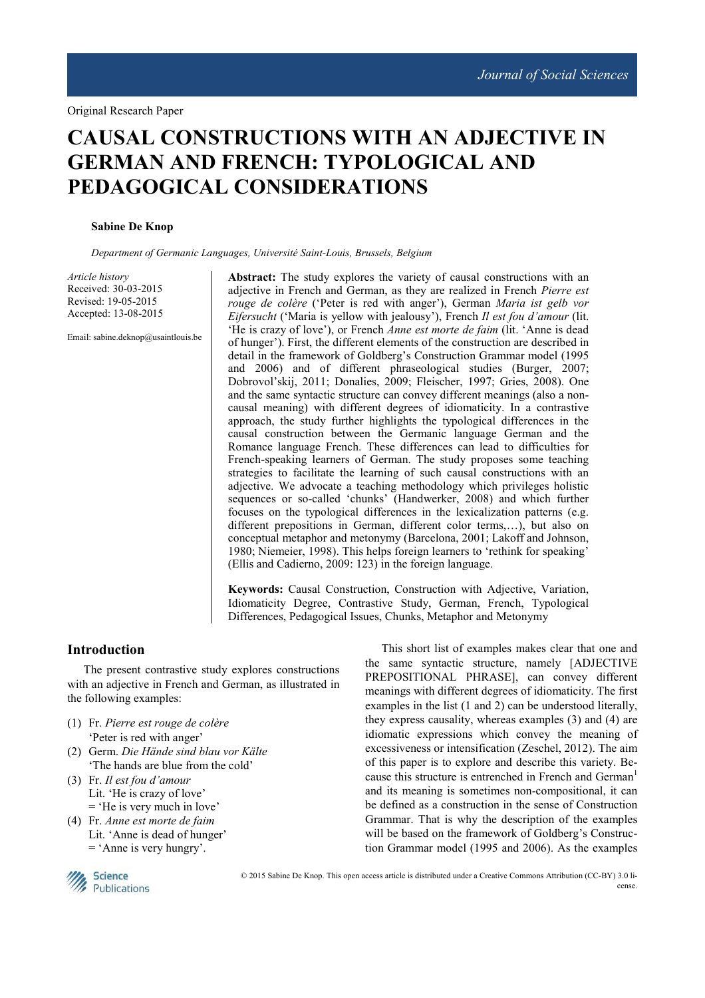# **CAUSAL CONSTRUCTIONS WITH AN ADJECTIVE IN GERMAN AND FRENCH: TYPOLOGICAL AND PEDAGOGICAL CONSIDERATIONS**

#### **Sabine De Knop**

*Department of Germanic Languages, Université Saint-Louis, Brussels, Belgium*

*Article history*  Received: 30-03-2015 Revised: 19-05-2015 Accepted: 13-08-2015

Email: sabine.deknop@usaintlouis.be

Abstract: The study explores the variety of causal constructions with an adjective in French and German, as they are realized in French *Pierre est rouge de colère* ('Peter is red with anger'), German *Maria ist gelb vor Eifersucht* ('Maria is yellow with jealousy'), French *Il est fou d'amour* (lit. 'He is crazy of love'), or French *Anne est morte de faim* (lit. 'Anne is dead of hunger'). First, the different elements of the construction are described in detail in the framework of Goldberg's Construction Grammar model (1995 and 2006) and of different phraseological studies (Burger, 2007; Dobrovol'skij, 2011; Donalies, 2009; Fleischer, 1997; Gries, 2008). One and the same syntactic structure can convey different meanings (also a noncausal meaning) with different degrees of idiomaticity. In a contrastive approach, the study further highlights the typological differences in the causal construction between the Germanic language German and the Romance language French. These differences can lead to difficulties for French-speaking learners of German. The study proposes some teaching strategies to facilitate the learning of such causal constructions with an adjective. We advocate a teaching methodology which privileges holistic sequences or so-called 'chunks' (Handwerker, 2008) and which further focuses on the typological differences in the lexicalization patterns (e.g. different prepositions in German, different color terms,…), but also on conceptual metaphor and metonymy (Barcelona, 2001; Lakoff and Johnson, 1980; Niemeier, 1998). This helps foreign learners to 'rethink for speaking' (Ellis and Cadierno, 2009: 123) in the foreign language.

**Keywords:** Causal Construction, Construction with Adjective, Variation, Idiomaticity Degree, Contrastive Study, German, French, Typological Differences, Pedagogical Issues, Chunks, Metaphor and Metonymy

# **Introduction**

The present contrastive study explores constructions with an adjective in French and German, as illustrated in the following examples:

- (1) Fr. *Pierre est rouge de colère* 'Peter is red with anger'
- (2) Germ. *Die Hände sind blau vor Kälte* 'The hands are blue from the cold'
- (3) Fr. *Il est fou d'amour*  Lit. 'He is crazy of love' = 'He is very much in love'
- (4) Fr. *Anne est morte de faim* Lit. 'Anne is dead of hunger' = 'Anne is very hungry'.

This short list of examples makes clear that one and the same syntactic structure, namely [ADJECTIVE PREPOSITIONAL PHRASE], can convey different meanings with different degrees of idiomaticity. The first examples in the list (1 and 2) can be understood literally, they express causality, whereas examples (3) and (4) are idiomatic expressions which convey the meaning of excessiveness or intensification (Zeschel, 2012). The aim of this paper is to explore and describe this variety. Because this structure is entrenched in French and German<sup>1</sup> and its meaning is sometimes non-compositional, it can be defined as a construction in the sense of Construction Grammar. That is why the description of the examples will be based on the framework of Goldberg's Construction Grammar model (1995 and 2006). As the examples



 © 2015 Sabine De Knop. This open access article is distributed under a Creative Commons Attribution (CC-BY) 3.0 license.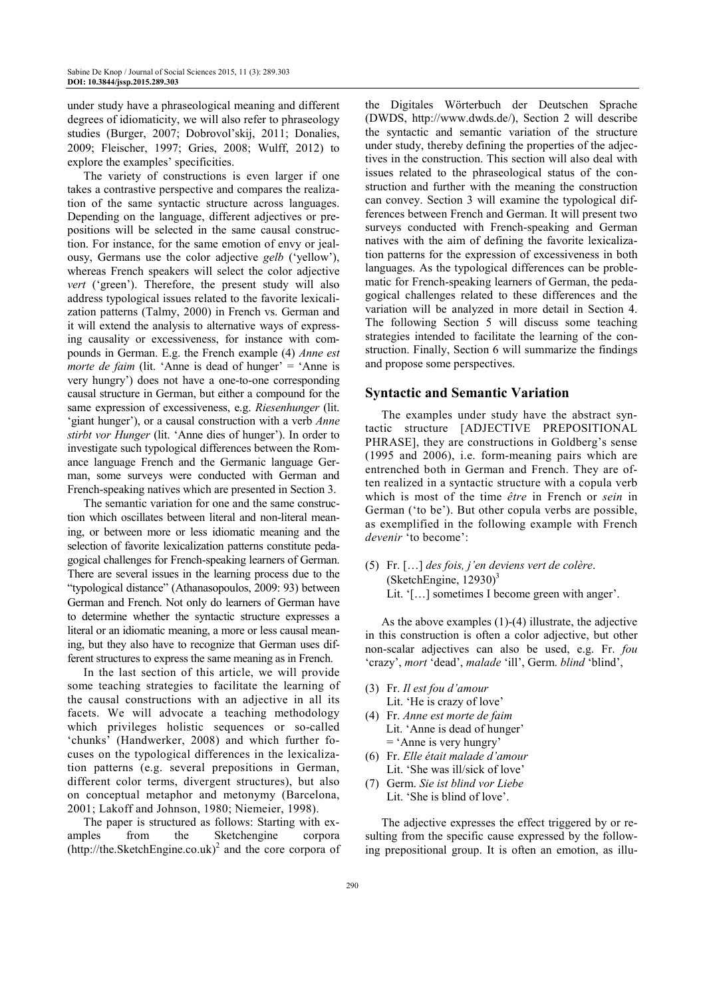under study have a phraseological meaning and different degrees of idiomaticity, we will also refer to phraseology studies (Burger, 2007; Dobrovol'skij, 2011; Donalies, 2009; Fleischer, 1997; Gries, 2008; Wulff, 2012) to explore the examples' specificities.

The variety of constructions is even larger if one takes a contrastive perspective and compares the realization of the same syntactic structure across languages. Depending on the language, different adjectives or prepositions will be selected in the same causal construction. For instance, for the same emotion of envy or jealousy, Germans use the color adjective *gelb* ('yellow'), whereas French speakers will select the color adjective *vert* ('green'). Therefore, the present study will also address typological issues related to the favorite lexicalization patterns (Talmy, 2000) in French vs. German and it will extend the analysis to alternative ways of expressing causality or excessiveness, for instance with compounds in German. E.g. the French example (4) *Anne est morte de faim* (lit. 'Anne is dead of hunger' = 'Anne is very hungry') does not have a one-to-one corresponding causal structure in German, but either a compound for the same expression of excessiveness, e.g. *Riesenhunger* (lit. 'giant hunger'), or a causal construction with a verb *Anne stirbt vor Hunger* (lit. 'Anne dies of hunger'). In order to investigate such typological differences between the Romance language French and the Germanic language German, some surveys were conducted with German and French-speaking natives which are presented in Section 3.

The semantic variation for one and the same construction which oscillates between literal and non-literal meaning, or between more or less idiomatic meaning and the selection of favorite lexicalization patterns constitute pedagogical challenges for French-speaking learners of German. There are several issues in the learning process due to the "typological distance" (Athanasopoulos, 2009: 93) between German and French. Not only do learners of German have to determine whether the syntactic structure expresses a literal or an idiomatic meaning, a more or less causal meaning, but they also have to recognize that German uses different structures to express the same meaning as in French.

In the last section of this article, we will provide some teaching strategies to facilitate the learning of the causal constructions with an adjective in all its facets. We will advocate a teaching methodology which privileges holistic sequences or so-called 'chunks' (Handwerker, 2008) and which further focuses on the typological differences in the lexicalization patterns (e.g. several prepositions in German, different color terms, divergent structures), but also on conceptual metaphor and metonymy (Barcelona, 2001; Lakoff and Johnson, 1980; Niemeier, 1998).

The paper is structured as follows: Starting with examples from the Sketchengine corpora (http://the.SketchEngine.co.uk)<sup>2</sup> and the core corpora of

the Digitales Wörterbuch der Deutschen Sprache (DWDS, http://www.dwds.de/), Section 2 will describe the syntactic and semantic variation of the structure under study, thereby defining the properties of the adjectives in the construction. This section will also deal with issues related to the phraseological status of the construction and further with the meaning the construction can convey. Section 3 will examine the typological differences between French and German. It will present two surveys conducted with French-speaking and German natives with the aim of defining the favorite lexicalization patterns for the expression of excessiveness in both languages. As the typological differences can be problematic for French-speaking learners of German, the pedagogical challenges related to these differences and the variation will be analyzed in more detail in Section 4. The following Section 5 will discuss some teaching strategies intended to facilitate the learning of the construction. Finally, Section 6 will summarize the findings and propose some perspectives.

#### **Syntactic and Semantic Variation**

The examples under study have the abstract syntactic structure [ADJECTIVE PREPOSITIONAL PHRASE], they are constructions in Goldberg's sense (1995 and 2006), i.e. form-meaning pairs which are entrenched both in German and French. They are often realized in a syntactic structure with a copula verb which is most of the time *être* in French or *sein* in German ('to be'). But other copula verbs are possible, as exemplified in the following example with French *devenir* 'to become':

(5) Fr. […] *des fois, j'en deviens vert de colère*. (SketchEngine,  $12930$ )<sup>3</sup> Lit. '[...] sometimes I become green with anger'.

As the above examples (1)-(4) illustrate, the adjective in this construction is often a color adjective, but other non-scalar adjectives can also be used, e.g. Fr. *fou*  'crazy', *mort* 'dead', *malade* 'ill', Germ. *blind* 'blind',

- (3) Fr. *Il est fou d'amour* Lit. 'He is crazy of love'
- (4) Fr. *Anne est morte de faim* Lit. 'Anne is dead of hunger' = 'Anne is very hungry'
- (6) Fr. *Elle était malade d'amour* Lit. 'She was ill/sick of love'
- (7) Germ. *Sie ist blind vor Liebe* Lit. 'She is blind of love'.

The adjective expresses the effect triggered by or resulting from the specific cause expressed by the following prepositional group. It is often an emotion, as illu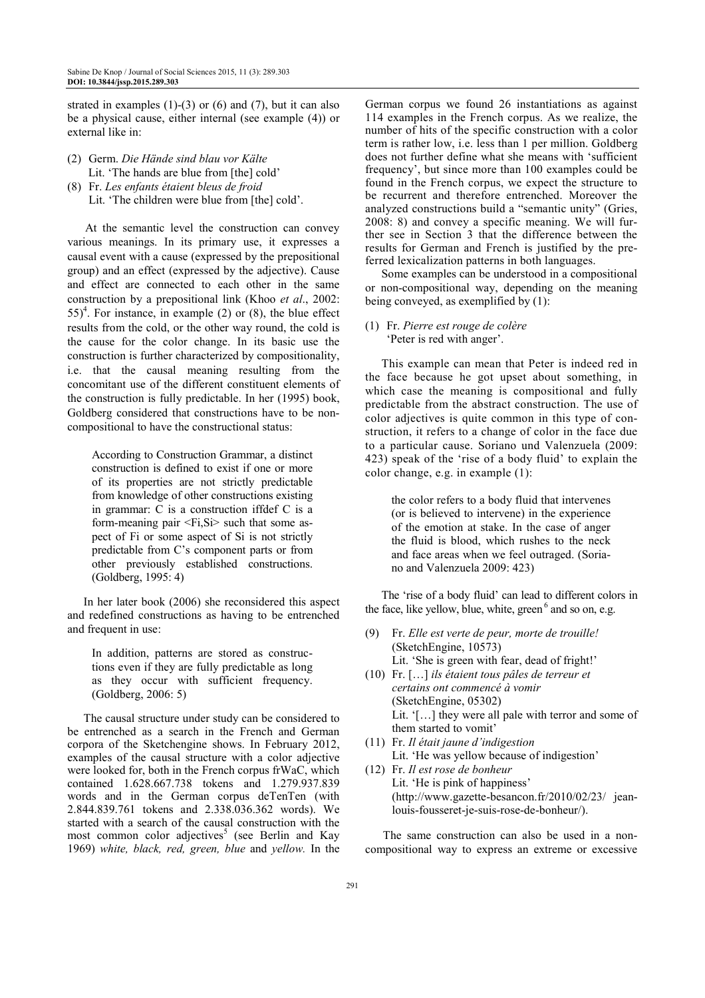strated in examples  $(1)-(3)$  or  $(6)$  and  $(7)$ , but it can also be a physical cause, either internal (see example (4)) or external like in:

- (2) Germ. *Die Hände sind blau vor Kälte* Lit. 'The hands are blue from [the] cold'
- (8) Fr. *Les enfants étaient bleus de froid* Lit. 'The children were blue from [the] cold'.

At the semantic level the construction can convey various meanings. In its primary use, it expresses a causal event with a cause (expressed by the prepositional group) and an effect (expressed by the adjective). Cause and effect are connected to each other in the same construction by a prepositional link (Khoo *et al*., 2002:  $55$ <sup>4</sup>. For instance, in example (2) or (8), the blue effect results from the cold, or the other way round, the cold is the cause for the color change. In its basic use the construction is further characterized by compositionality, i.e. that the causal meaning resulting from the concomitant use of the different constituent elements of the construction is fully predictable. In her (1995) book, Goldberg considered that constructions have to be noncompositional to have the constructional status:

According to Construction Grammar, a distinct construction is defined to exist if one or more of its properties are not strictly predictable from knowledge of other constructions existing in grammar: C is a construction iffdef C is a form-meaning pair <Fi,Si> such that some aspect of Fi or some aspect of Si is not strictly predictable from C's component parts or from other previously established constructions. (Goldberg, 1995: 4)

In her later book (2006) she reconsidered this aspect and redefined constructions as having to be entrenched and frequent in use:

In addition, patterns are stored as constructions even if they are fully predictable as long as they occur with sufficient frequency. (Goldberg, 2006: 5)

The causal structure under study can be considered to be entrenched as a search in the French and German corpora of the Sketchengine shows. In February 2012, examples of the causal structure with a color adjective were looked for, both in the French corpus frWaC, which contained 1.628.667.738 tokens and 1.279.937.839 words and in the German corpus deTenTen (with 2.844.839.761 tokens and 2.338.036.362 words). We started with a search of the causal construction with the most common color adjectives<sup>5</sup> (see Berlin and Kay 1969) *white, black, red, green, blue* and *yellow.* In the

German corpus we found 26 instantiations as against 114 examples in the French corpus. As we realize, the number of hits of the specific construction with a color term is rather low, i.e. less than 1 per million. Goldberg does not further define what she means with 'sufficient frequency', but since more than 100 examples could be found in the French corpus, we expect the structure to be recurrent and therefore entrenched. Moreover the analyzed constructions build a "semantic unity" (Gries, 2008: 8) and convey a specific meaning. We will further see in Section 3 that the difference between the results for German and French is justified by the preferred lexicalization patterns in both languages.

Some examples can be understood in a compositional or non-compositional way, depending on the meaning being conveyed, as exemplified by (1):

#### (1) Fr. *Pierre est rouge de colère* 'Peter is red with anger'.

This example can mean that Peter is indeed red in the face because he got upset about something, in which case the meaning is compositional and fully predictable from the abstract construction. The use of color adjectives is quite common in this type of construction, it refers to a change of color in the face due to a particular cause. Soriano und Valenzuela (2009: 423) speak of the 'rise of a body fluid' to explain the color change, e.g. in example (1):

the color refers to a body fluid that intervenes (or is believed to intervene) in the experience of the emotion at stake. In the case of anger the fluid is blood, which rushes to the neck and face areas when we feel outraged. (Soriano and Valenzuela 2009: 423)

The 'rise of a body fluid' can lead to different colors in the face, like yellow, blue, white, green $<sup>6</sup>$  and so on, e.g.</sup>

- (9) Fr. *Elle est verte de peur, morte de trouille!* (SketchEngine, 10573) Lit. 'She is green with fear, dead of fright!'
- (10) Fr. […] *ils étaient tous pâles de terreur et certains ont commencé à vomir* (SketchEngine, 05302) Lit. '[...] they were all pale with terror and some of them started to vomit'
- (11) Fr. *Il était jaune d'indigestion*  Lit. 'He was yellow because of indigestion'
- (12) Fr. *Il est rose de bonheur* Lit. 'He is pink of happiness' (http://www.gazette-besancon.fr/2010/02/23/ jeanlouis-fousseret-je-suis-rose-de-bonheur/).

The same construction can also be used in a noncompositional way to express an extreme or excessive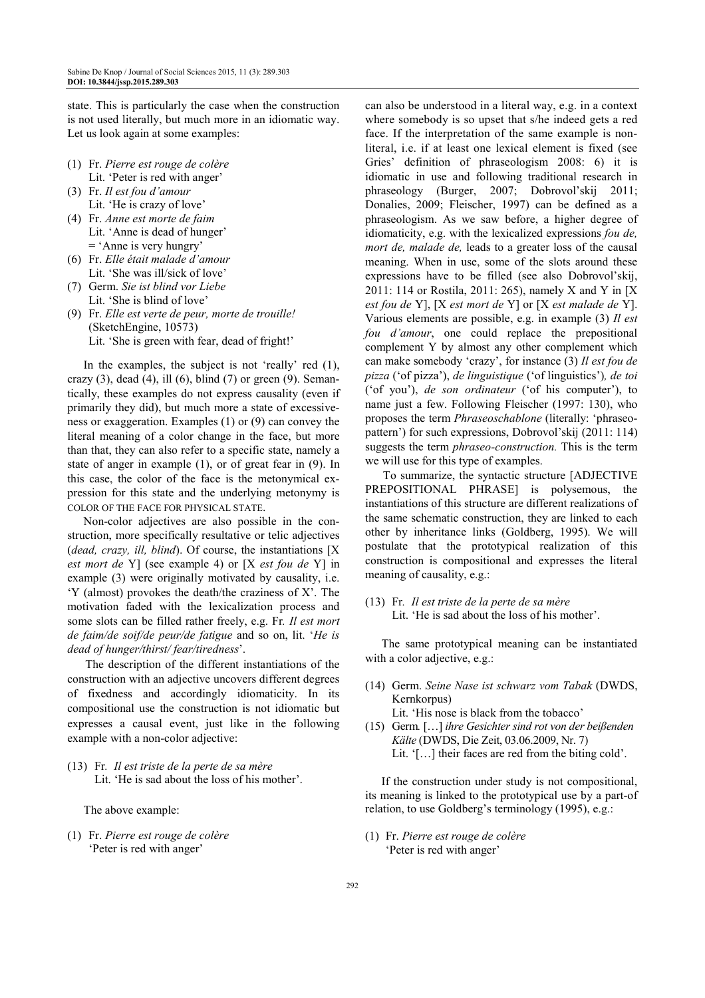state. This is particularly the case when the construction is not used literally, but much more in an idiomatic way. Let us look again at some examples:

- (1) Fr. *Pierre est rouge de colère* Lit. 'Peter is red with anger'
- (3) Fr. *Il est fou d'amour*  Lit. 'He is crazy of love'
- (4) Fr. *Anne est morte de faim* Lit. 'Anne is dead of hunger' = 'Anne is very hungry'
- (6) Fr. *Elle était malade d'amour* Lit. 'She was ill/sick of love'
- (7) Germ. *Sie ist blind vor Liebe* Lit. 'She is blind of love'
- (9) Fr. *Elle est verte de peur, morte de trouille!*  (SketchEngine, 10573) Lit. 'She is green with fear, dead of fright!'

In the examples, the subject is not 'really' red (1), crazy  $(3)$ , dead  $(4)$ , ill  $(6)$ , blind  $(7)$  or green  $(9)$ . Semantically, these examples do not express causality (even if primarily they did), but much more a state of excessiveness or exaggeration. Examples (1) or (9) can convey the literal meaning of a color change in the face, but more than that, they can also refer to a specific state, namely a state of anger in example (1), or of great fear in (9). In this case, the color of the face is the metonymical expression for this state and the underlying metonymy is COLOR OF THE FACE FOR PHYSICAL STATE.

Non-color adjectives are also possible in the construction, more specifically resultative or telic adjectives (*dead, crazy, ill, blind*). Of course, the instantiations [X *est mort de* Y] (see example 4) or [X *est fou de* Y] in example (3) were originally motivated by causality, i.e. 'Y (almost) provokes the death/the craziness of X'. The motivation faded with the lexicalization process and some slots can be filled rather freely, e.g. Fr*. Il est mort de faim/de soif/de peur/de fatigue* and so on, lit. '*He is dead of hunger/thirst/ fear/tiredness*'.

The description of the different instantiations of the construction with an adjective uncovers different degrees of fixedness and accordingly idiomaticity. In its compositional use the construction is not idiomatic but expresses a causal event, just like in the following example with a non-color adjective:

(13) Fr*. Il est triste de la perte de sa mère*  Lit. 'He is sad about the loss of his mother'.

The above example:

(1) Fr. *Pierre est rouge de colère*  'Peter is red with anger'

can also be understood in a literal way, e.g. in a context where somebody is so upset that s/he indeed gets a red face. If the interpretation of the same example is nonliteral, i.e. if at least one lexical element is fixed (see Gries' definition of phraseologism 2008: 6) it is idiomatic in use and following traditional research in phraseology (Burger, 2007; Dobrovol'skij 2011; Donalies, 2009; Fleischer, 1997) can be defined as a phraseologism. As we saw before, a higher degree of idiomaticity, e.g. with the lexicalized expressions *fou de, mort de, malade de,* leads to a greater loss of the causal meaning. When in use, some of the slots around these expressions have to be filled (see also Dobrovol'skij, 2011: 114 or Rostila, 2011: 265), namely X and Y in [X *est fou de* Y], [X *est mort de* Y] or [X *est malade de* Y]. Various elements are possible, e.g. in example (3) *Il est fou d'amour*, one could replace the prepositional complement Y by almost any other complement which can make somebody 'crazy', for instance (3) *Il est fou de pizza* ('of pizza'), *de linguistique* ('of linguistics')*, de toi*  ('of you'), *de son ordinateur* ('of his computer'), to name just a few. Following Fleischer (1997: 130), who proposes the term *Phraseoschablone* (literally: 'phraseopattern') for such expressions, Dobrovol'skij (2011: 114) suggests the term *phraseo-construction.* This is the term we will use for this type of examples.

To summarize, the syntactic structure [ADJECTIVE PREPOSITIONAL PHRASE] is polysemous, the instantiations of this structure are different realizations of the same schematic construction, they are linked to each other by inheritance links (Goldberg, 1995). We will postulate that the prototypical realization of this construction is compositional and expresses the literal meaning of causality, e.g.:

(13) Fr*. Il est triste de la perte de sa mère*  Lit. 'He is sad about the loss of his mother'.

The same prototypical meaning can be instantiated with a color adjective, e.g.:

- (14) Germ. *Seine Nase ist schwarz vom Tabak* (DWDS, Kernkorpus) Lit. 'His nose is black from the tobacco'
- (15)Germ*.* […] *ihre Gesichter sind rot von der beißenden Kälte* (DWDS, Die Zeit, 03.06.2009, Nr. 7) Lit. '[…] their faces are red from the biting cold'.

If the construction under study is not compositional, its meaning is linked to the prototypical use by a part-of relation, to use Goldberg's terminology (1995), e.g.:

(1) Fr. *Pierre est rouge de colère* 'Peter is red with anger'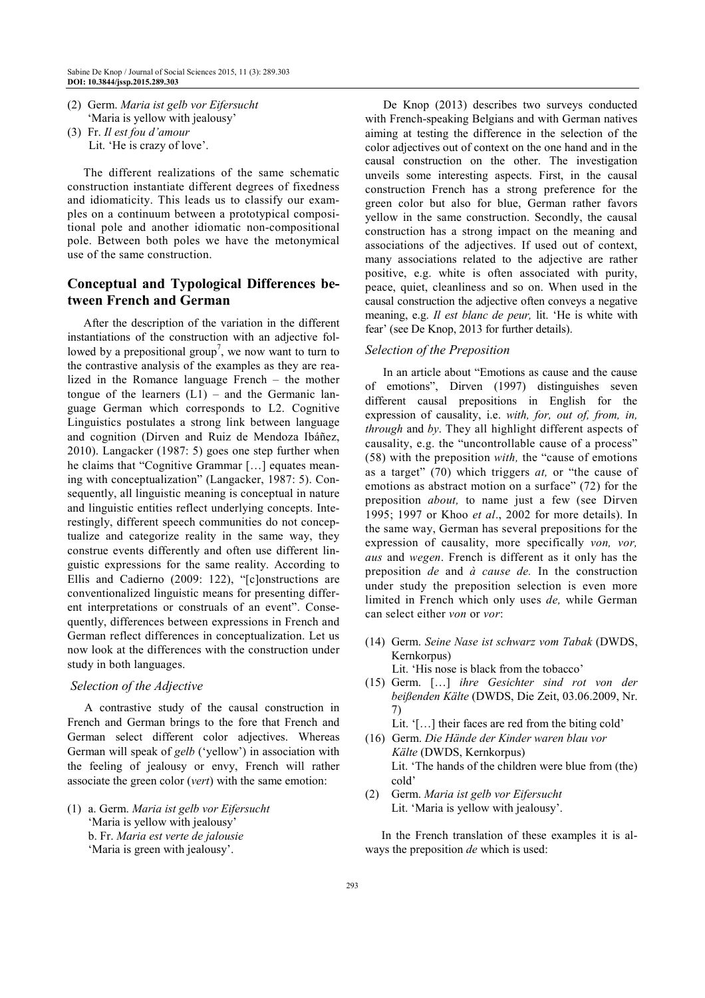- (2) Germ. *Maria ist gelb vor Eifersucht* 'Maria is yellow with jealousy'
- (3) Fr. *Il est fou d'amour* Lit. 'He is crazy of love'.

The different realizations of the same schematic construction instantiate different degrees of fixedness and idiomaticity. This leads us to classify our examples on a continuum between a prototypical compositional pole and another idiomatic non-compositional pole. Between both poles we have the metonymical use of the same construction.

# **Conceptual and Typological Differences between French and German**

After the description of the variation in the different instantiations of the construction with an adjective followed by a prepositional group<sup>7</sup>, we now want to turn to the contrastive analysis of the examples as they are realized in the Romance language French – the mother tongue of the learners  $(L1)$  – and the Germanic language German which corresponds to L2. Cognitive Linguistics postulates a strong link between language and cognition (Dirven and Ruiz de Mendoza Ibáñez, 2010). Langacker (1987: 5) goes one step further when he claims that "Cognitive Grammar […] equates meaning with conceptualization" (Langacker, 1987: 5). Consequently, all linguistic meaning is conceptual in nature and linguistic entities reflect underlying concepts. Interestingly, different speech communities do not conceptualize and categorize reality in the same way, they construe events differently and often use different linguistic expressions for the same reality. According to Ellis and Cadierno (2009: 122), "[c]onstructions are conventionalized linguistic means for presenting different interpretations or construals of an event". Consequently, differences between expressions in French and German reflect differences in conceptualization. Let us now look at the differences with the construction under study in both languages.

#### *Selection of the Adjective*

A contrastive study of the causal construction in French and German brings to the fore that French and German select different color adjectives. Whereas German will speak of *gelb* ('yellow') in association with the feeling of jealousy or envy, French will rather associate the green color (*vert*) with the same emotion:

(1) a. Germ. *Maria ist gelb vor Eifersucht* 'Maria is yellow with jealousy' b. Fr. *Maria est verte de jalousie*  'Maria is green with jealousy'.

De Knop (2013) describes two surveys conducted with French-speaking Belgians and with German natives aiming at testing the difference in the selection of the color adjectives out of context on the one hand and in the causal construction on the other. The investigation unveils some interesting aspects. First, in the causal construction French has a strong preference for the green color but also for blue, German rather favors yellow in the same construction. Secondly, the causal construction has a strong impact on the meaning and associations of the adjectives. If used out of context, many associations related to the adjective are rather positive, e.g. white is often associated with purity, peace, quiet, cleanliness and so on. When used in the causal construction the adjective often conveys a negative meaning, e.g. *Il est blanc de peur,* lit. 'He is white with fear' (see De Knop, 2013 for further details).

#### *Selection of the Preposition*

In an article about "Emotions as cause and the cause of emotions", Dirven (1997) distinguishes seven different causal prepositions in English for the expression of causality, i.e. *with, for, out of, from, in, through* and *by*. They all highlight different aspects of causality, e.g. the "uncontrollable cause of a process" (58) with the preposition *with,* the "cause of emotions as a target" (70) which triggers *at,* or "the cause of emotions as abstract motion on a surface" (72) for the preposition *about,* to name just a few (see Dirven 1995; 1997 or Khoo *et al*., 2002 for more details). In the same way, German has several prepositions for the expression of causality, more specifically *von, vor, aus* and *wegen*. French is different as it only has the preposition *de* and *à cause de.* In the construction under study the preposition selection is even more limited in French which only uses *de,* while German can select either *von* or *vor*:

- (14) Germ. *Seine Nase ist schwarz vom Tabak* (DWDS, Kernkorpus) Lit. 'His nose is black from the tobacco'
- (15) Germ. […] *ihre Gesichter sind rot von der beißenden Kälte* (DWDS, Die Zeit, 03.06.2009, Nr. 7)
	- Lit. '[…] their faces are red from the biting cold'
- (16) Germ. *Die Hände der Kinder waren blau vor Kälte* (DWDS, Kernkorpus) Lit. 'The hands of the children were blue from (the) cold'
- (2) Germ. *Maria ist gelb vor Eifersucht* Lit. 'Maria is yellow with jealousy'.

In the French translation of these examples it is always the preposition *de* which is used: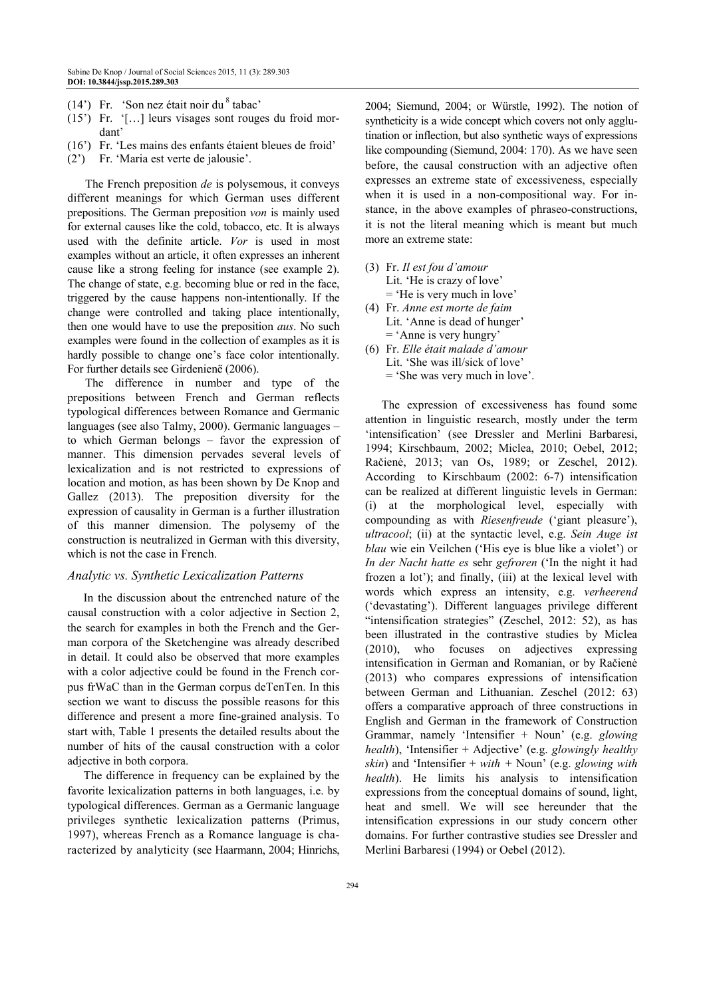- (14') Fr. 'Son nez était noir du  $8$  tabac'
- (15') Fr. '[…] leurs visages sont rouges du froid mordant'
- (16') Fr. 'Les mains des enfants étaient bleues de froid'
- (2') Fr. 'Maria est verte de jalousie'.

The French preposition *de* is polysemous, it conveys different meanings for which German uses different prepositions. The German preposition *von* is mainly used for external causes like the cold, tobacco, etc. It is always used with the definite article. *Vor* is used in most examples without an article, it often expresses an inherent cause like a strong feeling for instance (see example 2). The change of state, e.g. becoming blue or red in the face, triggered by the cause happens non-intentionally. If the change were controlled and taking place intentionally, then one would have to use the preposition *aus*. No such examples were found in the collection of examples as it is hardly possible to change one's face color intentionally. For further details see Girdenienë (2006).

The difference in number and type of the prepositions between French and German reflects typological differences between Romance and Germanic languages (see also Talmy, 2000). Germanic languages – to which German belongs – favor the expression of manner. This dimension pervades several levels of lexicalization and is not restricted to expressions of location and motion, as has been shown by De Knop and Gallez (2013). The preposition diversity for the expression of causality in German is a further illustration of this manner dimension. The polysemy of the construction is neutralized in German with this diversity, which is not the case in French.

#### *Analytic vs. Synthetic Lexicalization Patterns*

In the discussion about the entrenched nature of the causal construction with a color adjective in Section 2, the search for examples in both the French and the German corpora of the Sketchengine was already described in detail. It could also be observed that more examples with a color adjective could be found in the French corpus frWaC than in the German corpus deTenTen. In this section we want to discuss the possible reasons for this difference and present a more fine-grained analysis. To start with, Table 1 presents the detailed results about the number of hits of the causal construction with a color adjective in both corpora.

The difference in frequency can be explained by the favorite lexicalization patterns in both languages, i.e. by typological differences. German as a Germanic language privileges synthetic lexicalization patterns (Primus, 1997), whereas French as a Romance language is characterized by analyticity (see Haarmann, 2004; Hinrichs, 2004; Siemund, 2004; or Würstle, 1992). The notion of syntheticity is a wide concept which covers not only agglutination or inflection, but also synthetic ways of expressions like compounding (Siemund, 2004: 170). As we have seen before, the causal construction with an adjective often expresses an extreme state of excessiveness, especially when it is used in a non-compositional way. For instance, in the above examples of phraseo-constructions, it is not the literal meaning which is meant but much more an extreme state:

- (3) Fr. *Il est fou d'amour*  Lit. 'He is crazy of love' = 'He is very much in love'
- (4) Fr. *Anne est morte de faim* Lit. 'Anne is dead of hunger' = 'Anne is very hungry'
- (6) Fr. *Elle était malade d'amour* Lit. 'She was ill/sick of love' = 'She was very much in love'.

The expression of excessiveness has found some attention in linguistic research, mostly under the term 'intensification' (see Dressler and Merlini Barbaresi, 1994; Kirschbaum, 2002; Miclea, 2010; Oebel, 2012; Račienė, 2013; van Os, 1989; or Zeschel, 2012). According to Kirschbaum (2002: 6-7) intensification can be realized at different linguistic levels in German: (i) at the morphological level, especially with compounding as with *Riesenfreude* ('giant pleasure'), *ultracool*; (ii) at the syntactic level, e.g. *Sein Auge ist blau* wie ein Veilchen ('His eye is blue like a violet') or *In der Nacht hatte es* sehr *gefroren* ('In the night it had frozen a lot'); and finally, (iii) at the lexical level with words which express an intensity, e.g. *verheerend* ('devastating'). Different languages privilege different "intensification strategies" (Zeschel, 2012: 52), as has been illustrated in the contrastive studies by Miclea (2010), who focuses on adjectives expressing intensification in German and Romanian, or by Račienė (2013) who compares expressions of intensification between German and Lithuanian. Zeschel (2012: 63) offers a comparative approach of three constructions in English and German in the framework of Construction Grammar, namely 'Intensifier + Noun' (e.g. *glowing health*), 'Intensifier + Adjective' (e.g. *glowingly healthy skin*) and 'Intensifier + *with +* Noun' (e.g. *glowing with health*). He limits his analysis to intensification expressions from the conceptual domains of sound, light, heat and smell. We will see hereunder that the intensification expressions in our study concern other domains. For further contrastive studies see Dressler and Merlini Barbaresi (1994) or Oebel (2012).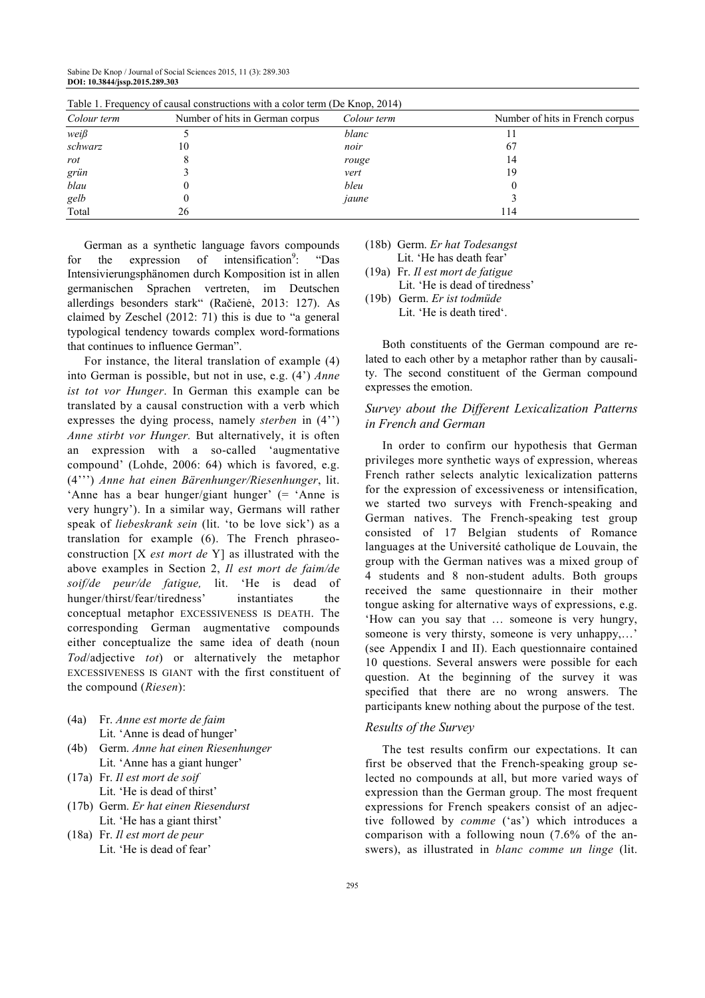Sabine De Knop / Journal of Social Sciences 2015, 11 (3): 289.303 **DOI: 10.3844/jssp.2015.289.303**

| Table 1. Prequency of causal constructions with a color term (De Knop, $2014$ ) |                                 |             |                                 |  |
|---------------------------------------------------------------------------------|---------------------------------|-------------|---------------------------------|--|
| Colour term                                                                     | Number of hits in German corpus | Colour term | Number of hits in French corpus |  |
| $wei\beta$                                                                      |                                 | blanc       |                                 |  |
| schwarz                                                                         | 10                              | noir        | 67                              |  |
| rot                                                                             |                                 | rouge       | 14                              |  |
| grün                                                                            |                                 | vert        | 19                              |  |
| blau                                                                            |                                 | bleu        |                                 |  |
| gelb                                                                            |                                 | jaune       |                                 |  |
| Total                                                                           | 26                              |             | l 14                            |  |

Table 1. Frequency of causal constructions with a color term (De Knop, 2014)

German as a synthetic language favors compounds for the expression of intensification<sup>9</sup>: : "Das Intensivierungsphänomen durch Komposition ist in allen germanischen Sprachen vertreten, im Deutschen allerdings besonders stark" (Račienė, 2013: 127). As claimed by Zeschel (2012: 71) this is due to "a general typological tendency towards complex word-formations that continues to influence German".

For instance, the literal translation of example (4) into German is possible, but not in use, e.g. (4') *Anne ist tot vor Hunger*. In German this example can be translated by a causal construction with a verb which expresses the dying process, namely *sterben* in (4'') *Anne stirbt vor Hunger.* But alternatively, it is often an expression with a so-called 'augmentative compound' (Lohde, 2006: 64) which is favored, e.g. (4''') *Anne hat einen Bärenhunger/Riesenhunger*, lit. 'Anne has a bear hunger/giant hunger' (= 'Anne is very hungry'). In a similar way, Germans will rather speak of *liebeskrank sein* (lit. 'to be love sick') as a translation for example (6). The French phraseoconstruction [X *est mort de* Y] as illustrated with the above examples in Section 2, *Il est mort de faim/de soif/de peur/de fatigue,* lit. 'He is dead of hunger/thirst/fear/tiredness' instantiates the conceptual metaphor EXCESSIVENESS IS DEATH. The corresponding German augmentative compounds either conceptualize the same idea of death (noun *Tod*/adjective *tot*) or alternatively the metaphor EXCESSIVENESS IS GIANT with the first constituent of the compound (*Riesen*):

- (4a) Fr. *Anne est morte de faim* Lit. 'Anne is dead of hunger'
- (4b) Germ. *Anne hat einen Riesenhunger*  Lit. 'Anne has a giant hunger'
- (17a) Fr. *Il est mort de soif* Lit. 'He is dead of thirst'
- (17b) Germ. *Er hat einen Riesendurst*  Lit. 'He has a giant thirst'
- (18a) Fr. *Il est mort de peur*  Lit. 'He is dead of fear'

# (18b) Germ. *Er hat Todesangst*

- Lit. 'He has death fear' (19a) Fr. *Il est mort de fatigue*
- Lit. 'He is dead of tiredness'
- (19b) Germ. *Er ist todmüde* Lit. 'He is death tired'.

Both constituents of the German compound are related to each other by a metaphor rather than by causality. The second constituent of the German compound expresses the emotion.

# *Survey about the Different Lexicalization Patterns in French and German*

In order to confirm our hypothesis that German privileges more synthetic ways of expression, whereas French rather selects analytic lexicalization patterns for the expression of excessiveness or intensification, we started two surveys with French-speaking and German natives. The French-speaking test group consisted of 17 Belgian students of Romance languages at the Université catholique de Louvain, the group with the German natives was a mixed group of 4 students and 8 non-student adults. Both groups received the same questionnaire in their mother tongue asking for alternative ways of expressions, e.g. 'How can you say that … someone is very hungry, someone is very thirsty, someone is very unhappy,…' (see Appendix I and II). Each questionnaire contained 10 questions. Several answers were possible for each question. At the beginning of the survey it was specified that there are no wrong answers. The participants knew nothing about the purpose of the test.

## *Results of the Survey*

The test results confirm our expectations. It can first be observed that the French-speaking group selected no compounds at all, but more varied ways of expression than the German group. The most frequent expressions for French speakers consist of an adjective followed by *comme* ('as') which introduces a comparison with a following noun (7.6% of the answers), as illustrated in *blanc comme un linge* (lit.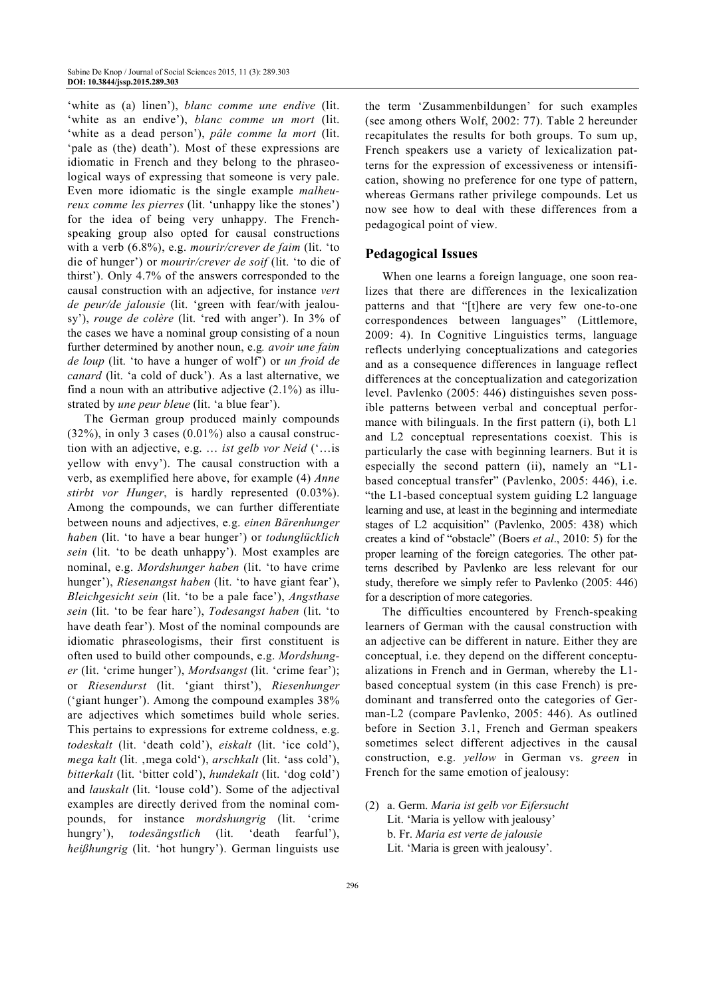'white as (a) linen'), *blanc comme une endive* (lit. 'white as an endive'), *blanc comme un mort* (lit. 'white as a dead person'), *pâle comme la mort* (lit. 'pale as (the) death'). Most of these expressions are idiomatic in French and they belong to the phraseological ways of expressing that someone is very pale. Even more idiomatic is the single example *malheureux comme les pierres* (lit. 'unhappy like the stones') for the idea of being very unhappy. The Frenchspeaking group also opted for causal constructions with a verb (6.8%), e.g. *mourir/crever de faim* (lit. 'to die of hunger') or *mourir/crever de soif* (lit. 'to die of thirst'). Only 4.7% of the answers corresponded to the causal construction with an adjective, for instance *vert de peur/de jalousie* (lit. 'green with fear/with jealousy'), *rouge de colère* (lit. 'red with anger'). In 3% of the cases we have a nominal group consisting of a noun further determined by another noun, e.g*. avoir une faim de loup* (lit. 'to have a hunger of wolf') or *un froid de canard* (lit. 'a cold of duck'). As a last alternative, we find a noun with an attributive adjective (2.1%) as illustrated by *une peur bleue* (lit. 'a blue fear').

The German group produced mainly compounds (32%), in only 3 cases (0.01%) also a causal construction with an adjective, e.g. … *ist gelb vor Neid* ('…is yellow with envy'). The causal construction with a verb, as exemplified here above, for example (4) *Anne stirbt vor Hunger*, is hardly represented (0.03%). Among the compounds, we can further differentiate between nouns and adjectives, e.g. *einen Bärenhunger haben* (lit. 'to have a bear hunger') or *todunglücklich sein* (lit. 'to be death unhappy'). Most examples are nominal, e.g. *Mordshunger haben* (lit. 'to have crime hunger'), *Riesenangst haben* (lit. 'to have giant fear'), *Bleichgesicht sein* (lit. 'to be a pale face'), *Angsthase sein* (lit. 'to be fear hare'), *Todesangst haben* (lit. 'to have death fear'). Most of the nominal compounds are idiomatic phraseologisms, their first constituent is often used to build other compounds, e.g. *Mordshunger* (lit. 'crime hunger'), *Mordsangst* (lit. 'crime fear'); or *Riesendurst* (lit. 'giant thirst'), *Riesenhunger* ('giant hunger'). Among the compound examples 38% are adjectives which sometimes build whole series. This pertains to expressions for extreme coldness, e.g. *todeskalt* (lit. 'death cold'), *eiskalt* (lit. 'ice cold'), *mega kalt* (lit. , mega cold'), *arschkalt* (lit. 'ass cold'), *bitterkalt* (lit. 'bitter cold'), *hundekalt* (lit. 'dog cold') and *lauskalt* (lit. 'louse cold'). Some of the adjectival examples are directly derived from the nominal compounds, for instance *mordshungrig* (lit. 'crime hungry'), *todesängstlich* (lit. 'death fearful'), *heißhungrig* (lit. 'hot hungry'). German linguists use

the term 'Zusammenbildungen' for such examples (see among others Wolf, 2002: 77). Table 2 hereunder recapitulates the results for both groups. To sum up, French speakers use a variety of lexicalization patterns for the expression of excessiveness or intensification, showing no preference for one type of pattern, whereas Germans rather privilege compounds. Let us now see how to deal with these differences from a pedagogical point of view.

# **Pedagogical Issues**

When one learns a foreign language, one soon realizes that there are differences in the lexicalization patterns and that "[t]here are very few one-to-one correspondences between languages" (Littlemore, 2009: 4). In Cognitive Linguistics terms, language reflects underlying conceptualizations and categories and as a consequence differences in language reflect differences at the conceptualization and categorization level. Pavlenko (2005: 446) distinguishes seven possible patterns between verbal and conceptual performance with bilinguals. In the first pattern (i), both L1 and L2 conceptual representations coexist. This is particularly the case with beginning learners. But it is especially the second pattern (ii), namely an "L1 based conceptual transfer" (Pavlenko, 2005: 446), i.e. "the L1-based conceptual system guiding L2 language learning and use, at least in the beginning and intermediate stages of L2 acquisition" (Pavlenko, 2005: 438) which creates a kind of "obstacle" (Boers *et al*., 2010: 5) for the proper learning of the foreign categories. The other patterns described by Pavlenko are less relevant for our study, therefore we simply refer to Pavlenko (2005: 446) for a description of more categories.

The difficulties encountered by French-speaking learners of German with the causal construction with an adjective can be different in nature. Either they are conceptual, i.e. they depend on the different conceptualizations in French and in German, whereby the L1 based conceptual system (in this case French) is predominant and transferred onto the categories of German-L2 (compare Pavlenko, 2005: 446). As outlined before in Section 3.1, French and German speakers sometimes select different adjectives in the causal construction, e.g. *yellow* in German vs. *green* in French for the same emotion of jealousy:

(2) a. Germ. *Maria ist gelb vor Eifersucht* Lit. 'Maria is yellow with jealousy' b. Fr. *Maria est verte de jalousie*  Lit. 'Maria is green with jealousy'.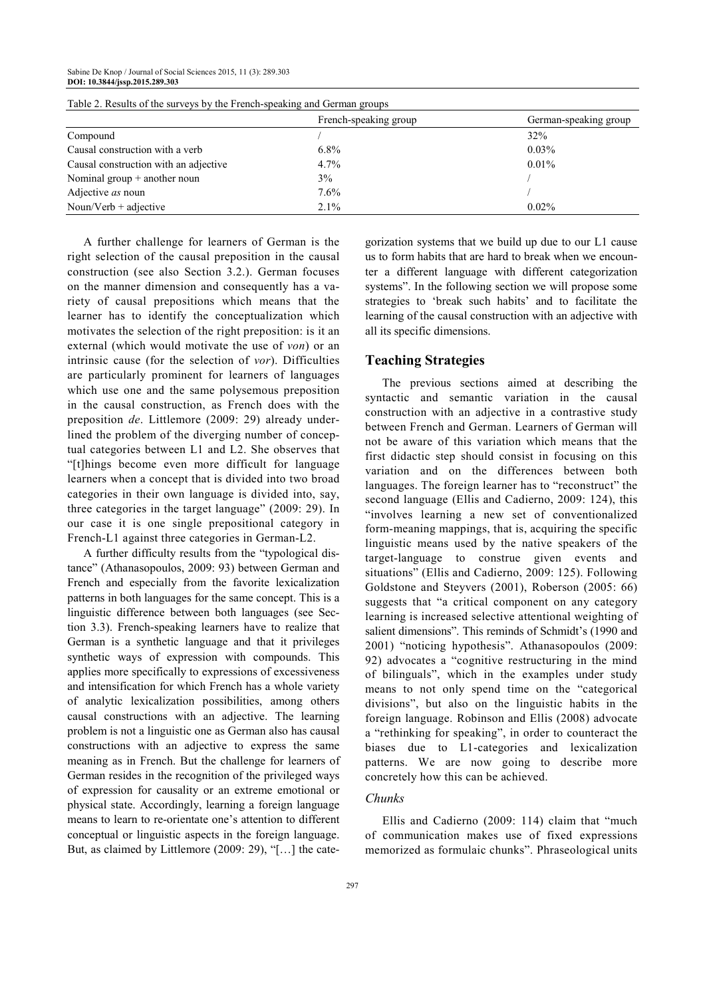|                                       | French-speaking group | German-speaking group |
|---------------------------------------|-----------------------|-----------------------|
| Compound                              |                       | 32%                   |
| Causal construction with a verb       | $6.8\%$               | $0.03\%$              |
| Causal construction with an adjective | 4.7%                  | $0.01\%$              |
| Nominal group $+$ another noun        | 3%                    |                       |
| Adjective as noun                     | 7.6%                  |                       |
| Noun/Verb $+$ adjective               | 2.1%                  | $0.02\%$              |

Table 2. Results of the surveys by the French-speaking and German groups

A further challenge for learners of German is the right selection of the causal preposition in the causal construction (see also Section 3.2.). German focuses on the manner dimension and consequently has a variety of causal prepositions which means that the learner has to identify the conceptualization which motivates the selection of the right preposition: is it an external (which would motivate the use of *von*) or an intrinsic cause (for the selection of *vor*). Difficulties are particularly prominent for learners of languages which use one and the same polysemous preposition in the causal construction, as French does with the preposition *de*. Littlemore (2009: 29) already underlined the problem of the diverging number of conceptual categories between L1 and L2. She observes that "[t]hings become even more difficult for language learners when a concept that is divided into two broad categories in their own language is divided into, say, three categories in the target language" (2009: 29). In our case it is one single prepositional category in French-L1 against three categories in German-L2.

A further difficulty results from the "typological distance" (Athanasopoulos, 2009: 93) between German and French and especially from the favorite lexicalization patterns in both languages for the same concept. This is a linguistic difference between both languages (see Section 3.3). French-speaking learners have to realize that German is a synthetic language and that it privileges synthetic ways of expression with compounds. This applies more specifically to expressions of excessiveness and intensification for which French has a whole variety of analytic lexicalization possibilities, among others causal constructions with an adjective. The learning problem is not a linguistic one as German also has causal constructions with an adjective to express the same meaning as in French. But the challenge for learners of German resides in the recognition of the privileged ways of expression for causality or an extreme emotional or physical state. Accordingly, learning a foreign language means to learn to re-orientate one's attention to different conceptual or linguistic aspects in the foreign language. But, as claimed by Littlemore (2009: 29), "[…] the cate-

gorization systems that we build up due to our L1 cause us to form habits that are hard to break when we encounter a different language with different categorization systems". In the following section we will propose some strategies to 'break such habits' and to facilitate the learning of the causal construction with an adjective with all its specific dimensions.

# **Teaching Strategies**

The previous sections aimed at describing the syntactic and semantic variation in the causal construction with an adjective in a contrastive study between French and German. Learners of German will not be aware of this variation which means that the first didactic step should consist in focusing on this variation and on the differences between both languages. The foreign learner has to "reconstruct" the second language (Ellis and Cadierno, 2009: 124), this "involves learning a new set of conventionalized form-meaning mappings, that is, acquiring the specific linguistic means used by the native speakers of the target-language to construe given events and situations" (Ellis and Cadierno, 2009: 125). Following Goldstone and Steyvers (2001), Roberson (2005: 66) suggests that "a critical component on any category learning is increased selective attentional weighting of salient dimensions". This reminds of Schmidt's (1990 and 2001) "noticing hypothesis". Athanasopoulos (2009: 92) advocates a "cognitive restructuring in the mind of bilinguals", which in the examples under study means to not only spend time on the "categorical divisions", but also on the linguistic habits in the foreign language. Robinson and Ellis (2008) advocate a "rethinking for speaking", in order to counteract the biases due to L1-categories and lexicalization patterns. We are now going to describe more concretely how this can be achieved.

# *Chunks*

Ellis and Cadierno (2009: 114) claim that "much of communication makes use of fixed expressions memorized as formulaic chunks". Phraseological units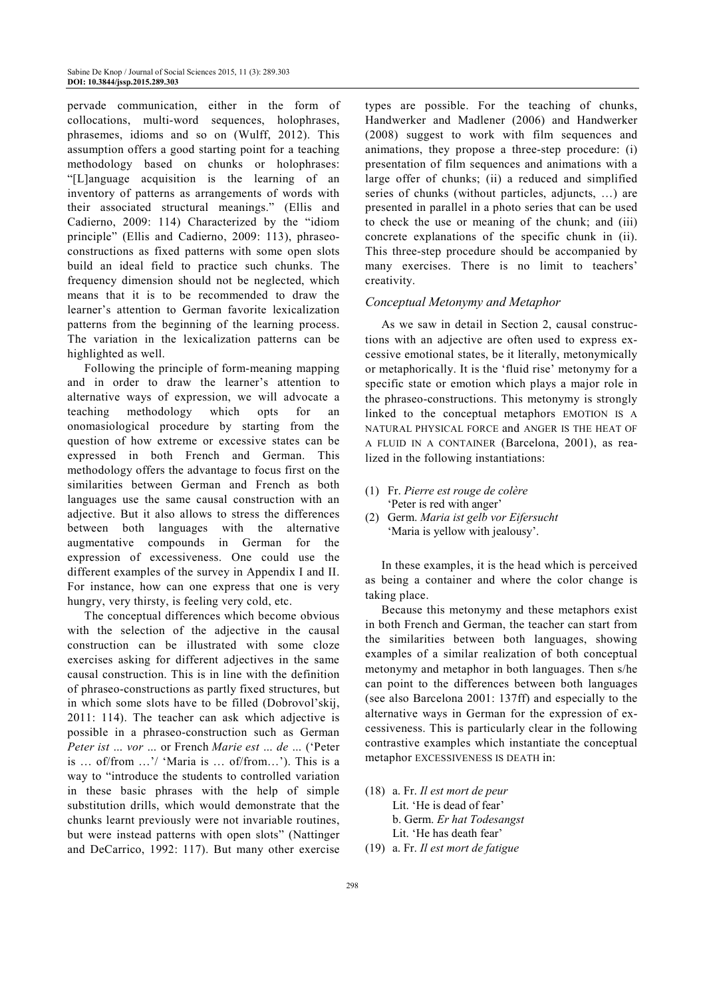pervade communication, either in the form of collocations, multi-word sequences, holophrases, phrasemes, idioms and so on (Wulff, 2012). This assumption offers a good starting point for a teaching methodology based on chunks or holophrases: "[L]anguage acquisition is the learning of an inventory of patterns as arrangements of words with their associated structural meanings." (Ellis and Cadierno, 2009: 114) Characterized by the "idiom principle" (Ellis and Cadierno, 2009: 113), phraseoconstructions as fixed patterns with some open slots build an ideal field to practice such chunks. The frequency dimension should not be neglected, which means that it is to be recommended to draw the learner's attention to German favorite lexicalization patterns from the beginning of the learning process. The variation in the lexicalization patterns can be highlighted as well.

Following the principle of form-meaning mapping and in order to draw the learner's attention to alternative ways of expression, we will advocate a teaching methodology which opts for an onomasiological procedure by starting from the question of how extreme or excessive states can be expressed in both French and German. This methodology offers the advantage to focus first on the similarities between German and French as both languages use the same causal construction with an adjective. But it also allows to stress the differences between both languages with the alternative augmentative compounds in German for the expression of excessiveness. One could use the different examples of the survey in Appendix I and II. For instance, how can one express that one is very hungry, very thirsty, is feeling very cold, etc.

The conceptual differences which become obvious with the selection of the adjective in the causal construction can be illustrated with some cloze exercises asking for different adjectives in the same causal construction. This is in line with the definition of phraseo-constructions as partly fixed structures, but in which some slots have to be filled (Dobrovol'skij, 2011: 114). The teacher can ask which adjective is possible in a phraseo-construction such as German *Peter ist … vor …* or French *Marie est … de …* ('Peter is … of/from …'/ 'Maria is … of/from…'). This is a way to "introduce the students to controlled variation in these basic phrases with the help of simple substitution drills, which would demonstrate that the chunks learnt previously were not invariable routines, but were instead patterns with open slots" (Nattinger and DeCarrico, 1992: 117). But many other exercise

types are possible. For the teaching of chunks, Handwerker and Madlener (2006) and Handwerker (2008) suggest to work with film sequences and animations, they propose a three-step procedure: (i) presentation of film sequences and animations with a large offer of chunks; (ii) a reduced and simplified series of chunks (without particles, adjuncts, …) are presented in parallel in a photo series that can be used to check the use or meaning of the chunk; and (iii) concrete explanations of the specific chunk in (ii). This three-step procedure should be accompanied by many exercises. There is no limit to teachers' creativity.

#### *Conceptual Metonymy and Metaphor*

As we saw in detail in Section 2, causal constructions with an adjective are often used to express excessive emotional states, be it literally, metonymically or metaphorically. It is the 'fluid rise' metonymy for a specific state or emotion which plays a major role in the phraseo-constructions. This metonymy is strongly linked to the conceptual metaphors EMOTION IS A NATURAL PHYSICAL FORCE and ANGER IS THE HEAT OF A FLUID IN A CONTAINER (Barcelona, 2001), as realized in the following instantiations:

- (1) Fr. *Pierre est rouge de colère* 'Peter is red with anger'
- (2) Germ. *Maria ist gelb vor Eifersucht* 'Maria is yellow with jealousy'.

In these examples, it is the head which is perceived as being a container and where the color change is taking place.

Because this metonymy and these metaphors exist in both French and German, the teacher can start from the similarities between both languages, showing examples of a similar realization of both conceptual metonymy and metaphor in both languages. Then s/he can point to the differences between both languages (see also Barcelona 2001: 137ff) and especially to the alternative ways in German for the expression of excessiveness. This is particularly clear in the following contrastive examples which instantiate the conceptual metaphor EXCESSIVENESS IS DEATH in:

- (18) a. Fr. *Il est mort de peur*  Lit. 'He is dead of fear' b. Germ. *Er hat Todesangst*  Lit. 'He has death fear'
- (19) a. Fr. *Il est mort de fatigue*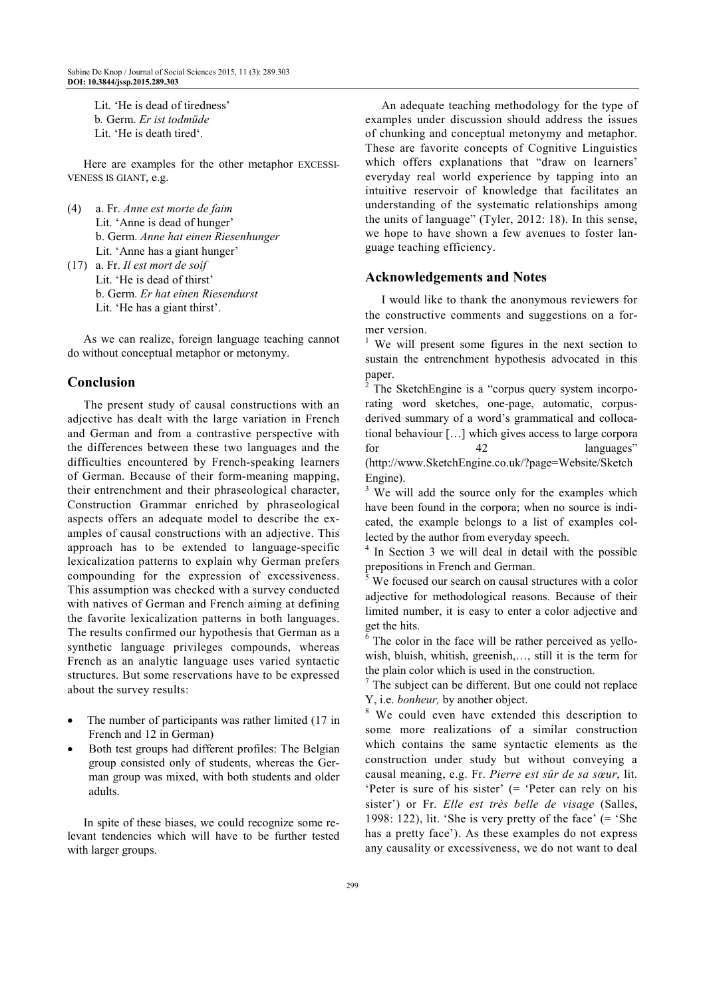Lit. 'He is dead of tiredness' b*.* Germ. *Er ist todmüde* Lit. 'He is death tired'.

Here are examples for the other metaphor EXCESSI-VENESS IS GIANT, e.g.

- (4) a. Fr. *Anne est morte de faim* Lit. 'Anne is dead of hunger' b. Germ. *Anne hat einen Riesenhunger*  Lit. 'Anne has a giant hunger'
- (17) a. Fr. *Il est mort de soif* Lit. 'He is dead of thirst' b. Germ. *Er hat einen Riesendurst*  Lit. 'He has a giant thirst'.

As we can realize, foreign language teaching cannot do without conceptual metaphor or metonymy.

# **Conclusion**

The present study of causal constructions with an adjective has dealt with the large variation in French and German and from a contrastive perspective with the differences between these two languages and the difficulties encountered by French-speaking learners of German. Because of their form-meaning mapping, their entrenchment and their phraseological character, Construction Grammar enriched by phraseological aspects offers an adequate model to describe the examples of causal constructions with an adjective. This approach has to be extended to language-specific lexicalization patterns to explain why German prefers compounding for the expression of excessiveness. This assumption was checked with a survey conducted with natives of German and French aiming at defining the favorite lexicalization patterns in both languages. The results confirmed our hypothesis that German as a synthetic language privileges compounds, whereas French as an analytic language uses varied syntactic structures. But some reservations have to be expressed about the survey results:

- The number of participants was rather limited (17 in French and 12 in German)
- Both test groups had different profiles: The Belgian group consisted only of students, whereas the German group was mixed, with both students and older adults.

In spite of these biases, we could recognize some relevant tendencies which will have to be further tested with larger groups.

An adequate teaching methodology for the type of examples under discussion should address the issues of chunking and conceptual metonymy and metaphor. These are favorite concepts of Cognitive Linguistics which offers explanations that "draw on learners' everyday real world experience by tapping into an intuitive reservoir of knowledge that facilitates an understanding of the systematic relationships among the units of language" (Tyler, 2012: 18). In this sense, we hope to have shown a few avenues to foster language teaching efficiency.

#### **Acknowledgements and Notes**

I would like to thank the anonymous reviewers for the constructive comments and suggestions on a former version.

<sup>1</sup> We will present some figures in the next section to sustain the entrenchment hypothesis advocated in this paper.

<sup>2</sup> The SketchEngine is a "corpus query system incorporating word sketches, one-page, automatic, corpusderived summary of a word's grammatical and collocational behaviour […] which gives access to large corpora for 42 languages" (http://www.SketchEngine.co.uk/?page=Website/Sketch Engine).

<sup>3</sup> We will add the source only for the examples which have been found in the corpora; when no source is indicated, the example belongs to a list of examples collected by the author from everyday speech.

4 In Section 3 we will deal in detail with the possible prepositions in French and German.

<sup>5</sup> We focused our search on causal structures with a color adjective for methodological reasons. Because of their limited number, it is easy to enter a color adjective and get the hits.

<sup>6</sup> The color in the face will be rather perceived as yellowish, bluish, whitish, greenish,…, still it is the term for the plain color which is used in the construction.

<sup>7</sup> The subject can be different. But one could not replace Y, i.e. *bonheur,* by another object.

<sup>8</sup> We could even have extended this description to some more realizations of a similar construction which contains the same syntactic elements as the construction under study but without conveying a causal meaning, e.g. Fr. *Pierre est sûr de sa sœur*, lit. 'Peter is sure of his sister' (= 'Peter can rely on his sister') or Fr. *Elle est très belle de visage* (Salles, 1998: 122), lit. 'She is very pretty of the face'  $($  = 'She has a pretty face'). As these examples do not express any causality or excessiveness, we do not want to deal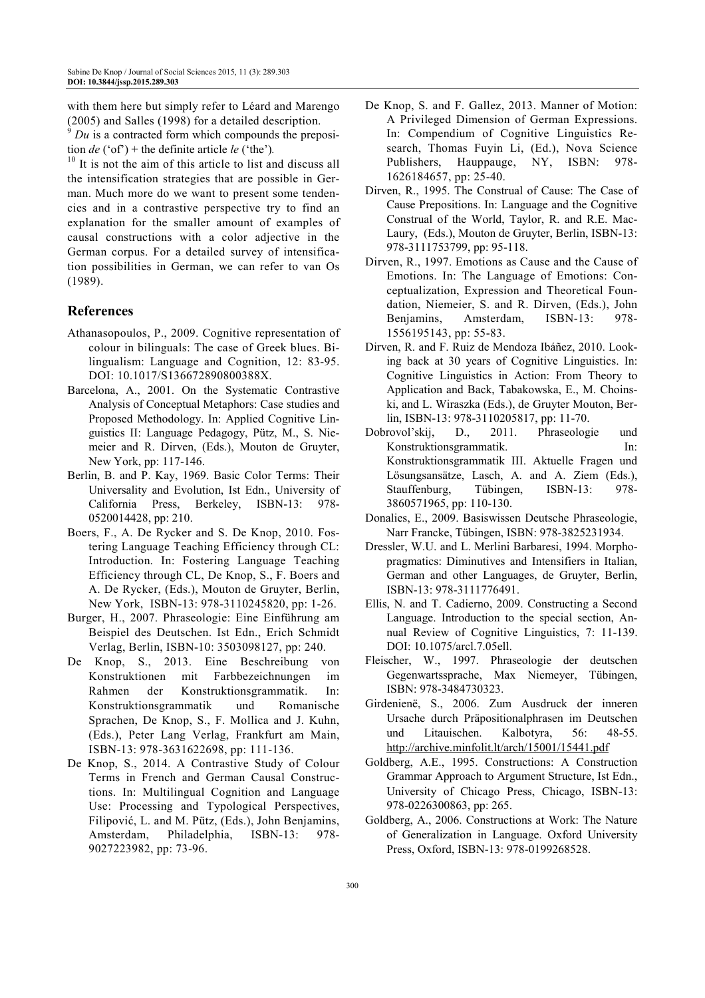with them here but simply refer to Léard and Marengo (2005) and Salles (1998) for a detailed description.

 $9$  *Du* is a contracted form which compounds the preposition *de* ('of') + the definite article *le* ('the')*.* 

 $10$  It is not the aim of this article to list and discuss all the intensification strategies that are possible in German. Much more do we want to present some tendencies and in a contrastive perspective try to find an explanation for the smaller amount of examples of causal constructions with a color adjective in the German corpus. For a detailed survey of intensification possibilities in German, we can refer to van Os (1989).

# **References**

- Athanasopoulos, P., 2009. Cognitive representation of colour in bilinguals: The case of Greek blues. Bilingualism: Language and Cognition, 12: 83-95. DOI: 10.1017/S136672890800388X.
- Barcelona, A., 2001. On the Systematic Contrastive Analysis of Conceptual Metaphors: Case studies and Proposed Methodology. In: Applied Cognitive Linguistics II: Language Pedagogy, Pütz, M., S. Niemeier and R. Dirven, (Eds.), Mouton de Gruyter, New York, pp: 117-146.
- Berlin, B. and P. Kay, 1969. Basic Color Terms: Their Universality and Evolution, Ist Edn., University of California Press, Berkeley, ISBN-13: 978- 0520014428, pp: 210.
- Boers, F., A. De Rycker and S. De Knop, 2010. Fostering Language Teaching Efficiency through CL: Introduction. In: Fostering Language Teaching Efficiency through CL, De Knop, S., F. Boers and A. De Rycker, (Eds.), Mouton de Gruyter, Berlin, New York, ISBN-13: 978-3110245820, pp: 1-26.
- Burger, H., 2007. Phraseologie: Eine Einführung am Beispiel des Deutschen. Ist Edn., Erich Schmidt Verlag, Berlin, ISBN-10: 3503098127, pp: 240.
- De Knop, S., 2013. Eine Beschreibung von Konstruktionen mit Farbbezeichnungen im Rahmen der Konstruktionsgrammatik. In: Konstruktionsgrammatik und Romanische Sprachen, De Knop, S., F. Mollica and J. Kuhn, (Eds.), Peter Lang Verlag, Frankfurt am Main, ISBN-13: 978-3631622698, pp: 111-136.
- De Knop, S., 2014. A Contrastive Study of Colour Terms in French and German Causal Constructions. In: Multilingual Cognition and Language Use: Processing and Typological Perspectives, Filipović, L. and M. Pütz, (Eds.), John Benjamins, Amsterdam, Philadelphia, ISBN-13: 978- 9027223982, pp: 73-96.
- De Knop, S. and F. Gallez, 2013. Manner of Motion: A Privileged Dimension of German Expressions. In: Compendium of Cognitive Linguistics Research, Thomas Fuyin Li, (Ed.), Nova Science Publishers, Hauppauge, NY, ISBN: 978- 1626184657, pp: 25-40.
- Dirven, R., 1995. The Construal of Cause: The Case of Cause Prepositions. In: Language and the Cognitive Construal of the World, Taylor, R. and R.E. Mac-Laury, (Eds.), Mouton de Gruyter, Berlin, ISBN-13: 978-3111753799, pp: 95-118.
- Dirven, R., 1997. Emotions as Cause and the Cause of Emotions. In: The Language of Emotions: Conceptualization, Expression and Theoretical Foundation, Niemeier, S. and R. Dirven, (Eds.), John Benjamins, Amsterdam, ISBN-13: 978- 1556195143, pp: 55-83.
- Dirven, R. and F. Ruiz de Mendoza Ibáñez, 2010. Looking back at 30 years of Cognitive Linguistics. In: Cognitive Linguistics in Action: From Theory to Application and Back, Tabakowska, E., M. Choinski, and L. Wiraszka (Eds.), de Gruyter Mouton, Berlin, ISBN-13: 978-3110205817, pp: 11-70.
- Dobrovol'skij, D., 2011. Phraseologie und Konstruktionsgrammatik. In: Konstruktionsgrammatik III. Aktuelle Fragen und Lösungsansätze, Lasch, A. and A. Ziem (Eds.), Stauffenburg, Tübingen, ISBN-13: 978- 3860571965, pp: 110-130.
- Donalies, E., 2009. Basiswissen Deutsche Phraseologie, Narr Francke, Tübingen, ISBN: 978-3825231934.
- Dressler, W.U. and L. Merlini Barbaresi, 1994. Morphopragmatics: Diminutives and Intensifiers in Italian, German and other Languages, de Gruyter, Berlin, ISBN-13: 978-3111776491.
- Ellis, N. and T. Cadierno, 2009. Constructing a Second Language. Introduction to the special section, Annual Review of Cognitive Linguistics, 7: 11-139. DOI: 10.1075/arcl.7.05ell.
- Fleischer, W., 1997. Phraseologie der deutschen Gegenwartssprache, Max Niemeyer, Tübingen, ISBN: 978-3484730323.
- Girdenienë, S., 2006. Zum Ausdruck der inneren Ursache durch Präpositionalphrasen im Deutschen und Litauischen. Kalbotyra, 56: 48-55. http://archive.minfolit.lt/arch/15001/15441.pdf
- Goldberg, A.E., 1995. Constructions: A Construction Grammar Approach to Argument Structure, Ist Edn., University of Chicago Press, Chicago, ISBN-13: 978-0226300863, pp: 265.
- Goldberg, A., 2006. Constructions at Work: The Nature of Generalization in Language. Oxford University Press, Oxford, ISBN-13: 978-0199268528.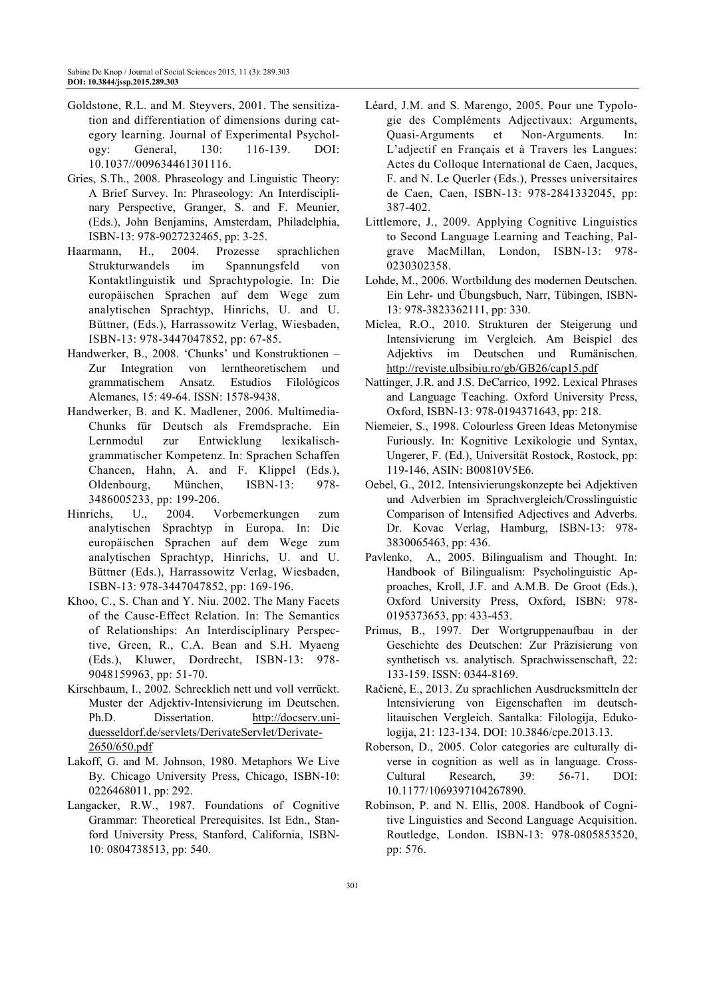- Goldstone, R.L. and M. Steyvers, 2001. The sensitization and differentiation of dimensions during category learning. Journal of Experimental Psychology: General, 130: 116-139. DOI: 10.1037//009634461301116.
- Gries, S.Th., 2008. Phraseology and Linguistic Theory: A Brief Survey. In: Phraseology: An Interdisciplinary Perspective, Granger, S. and F. Meunier, (Eds.), John Benjamins, Amsterdam, Philadelphia, ISBN-13: 978-9027232465, pp: 3-25.
- Haarmann, H., 2004. Prozesse sprachlichen Strukturwandels im Spannungsfeld von Kontaktlinguistik und Sprachtypologie. In: Die europäischen Sprachen auf dem Wege zum analytischen Sprachtyp, Hinrichs, U. and U. Büttner, (Eds.), Harrassowitz Verlag, Wiesbaden, ISBN-13: 978-3447047852, pp: 67-85.
- Handwerker, B., 2008. 'Chunks' und Konstruktionen Zur Integration von lerntheoretischem und grammatischem Ansatz. Estudios Filológicos Alemanes, 15: 49-64. ISSN: 1578-9438.
- Handwerker, B. and K. Madlener, 2006. Multimedia-Chunks für Deutsch als Fremdsprache. Ein Lernmodul zur Entwicklung lexikalischgrammatischer Kompetenz. In: Sprachen Schaffen Chancen, Hahn, A. and F. Klippel (Eds.), Oldenbourg, München, ISBN-13: 978- 3486005233, pp: 199-206.
- Hinrichs, U., 2004. Vorbemerkungen zum analytischen Sprachtyp in Europa. In: Die europäischen Sprachen auf dem Wege zum analytischen Sprachtyp, Hinrichs, U. and U. Büttner (Eds.), Harrassowitz Verlag, Wiesbaden, ISBN-13: 978-3447047852, pp: 169-196.
- Khoo, C., S. Chan and Y. Niu. 2002. The Many Facets of the Cause-Effect Relation. In: The Semantics of Relationships: An Interdisciplinary Perspective, Green, R., C.A. Bean and S.H. Myaeng (Eds.), Kluwer, Dordrecht, ISBN-13: 978- 9048159963, pp: 51-70.
- Kirschbaum, I., 2002. Schrecklich nett und voll verrückt. Muster der Adjektiv-Intensivierung im Deutschen. Ph.D. Dissertation. http://docserv.uniduesseldorf.de/servlets/DerivateServlet/Derivate-2650/650.pdf
- Lakoff, G. and M. Johnson, 1980. Metaphors We Live By. Chicago University Press, Chicago, ISBN-10: 0226468011, pp: 292.
- Langacker, R.W., 1987. Foundations of Cognitive Grammar: Theoretical Prerequisites. Ist Edn., Stanford University Press, Stanford, California, ISBN-10: 0804738513, pp: 540.
- Léard, J.M. and S. Marengo, 2005. Pour une Typologie des Compléments Adjectivaux: Arguments, Quasi-Arguments et Non-Arguments. In: L'adjectif en Français et à Travers les Langues: Actes du Colloque International de Caen, Jacques, F. and N. Le Querler (Eds.), Presses universitaires de Caen, Caen, ISBN-13: 978-2841332045, pp: 387-402.
- Littlemore, J., 2009. Applying Cognitive Linguistics to Second Language Learning and Teaching, Palgrave MacMillan, London, ISBN-13: 978- 0230302358.
- Lohde, M., 2006. Wortbildung des modernen Deutschen. Ein Lehr- und Übungsbuch, Narr, Tübingen, ISBN-13: 978-3823362111, pp: 330.
- Miclea, R.O., 2010. Strukturen der Steigerung und Intensivierung im Vergleich. Am Beispiel des Adjektivs im Deutschen und Rumänischen. http://reviste.ulbsibiu.ro/gb/GB26/cap15.pdf
- Nattinger, J.R. and J.S. DeCarrico, 1992. Lexical Phrases and Language Teaching. Oxford University Press, Oxford, ISBN-13: 978-0194371643, pp: 218.
- Niemeier, S., 1998. Colourless Green Ideas Metonymise Furiously. In: Kognitive Lexikologie und Syntax, Ungerer, F. (Ed.), Universität Rostock, Rostock, pp: 119-146, ASIN: B00810V5E6.
- Oebel, G., 2012. Intensivierungskonzepte bei Adjektiven und Adverbien im Sprachvergleich/Crosslinguistic Comparison of Intensified Adjectives and Adverbs. Dr. Kovac Verlag, Hamburg, ISBN-13: 978- 3830065463, pp: 436.
- Pavlenko, A., 2005. Bilingualism and Thought. In: Handbook of Bilingualism: Psycholinguistic Approaches, Kroll, J.F. and A.M.B. De Groot (Eds.), Oxford University Press, Oxford, ISBN: 978- 0195373653, pp: 433-453.
- Primus, B., 1997. Der Wortgruppenaufbau in der Geschichte des Deutschen: Zur Präzisierung von synthetisch vs. analytisch. Sprachwissenschaft, 22: 133-159. ISSN: 0344-8169.
- Račienė, E., 2013. Zu sprachlichen Ausdrucksmitteln der Intensivierung von Eigenschaften im deutschlitauischen Vergleich. Santalka: Filologija, Edukologija, 21: 123-134. DOI: 10.3846/cpe.2013.13.
- Roberson, D., 2005. Color categories are culturally diverse in cognition as well as in language. Cross-Cultural Research, 39: 56-71. DOI: 10.1177/1069397104267890.
- Robinson, P. and N. Ellis, 2008. Handbook of Cognitive Linguistics and Second Language Acquisition. Routledge, London. ISBN-13: 978-0805853520, pp: 576.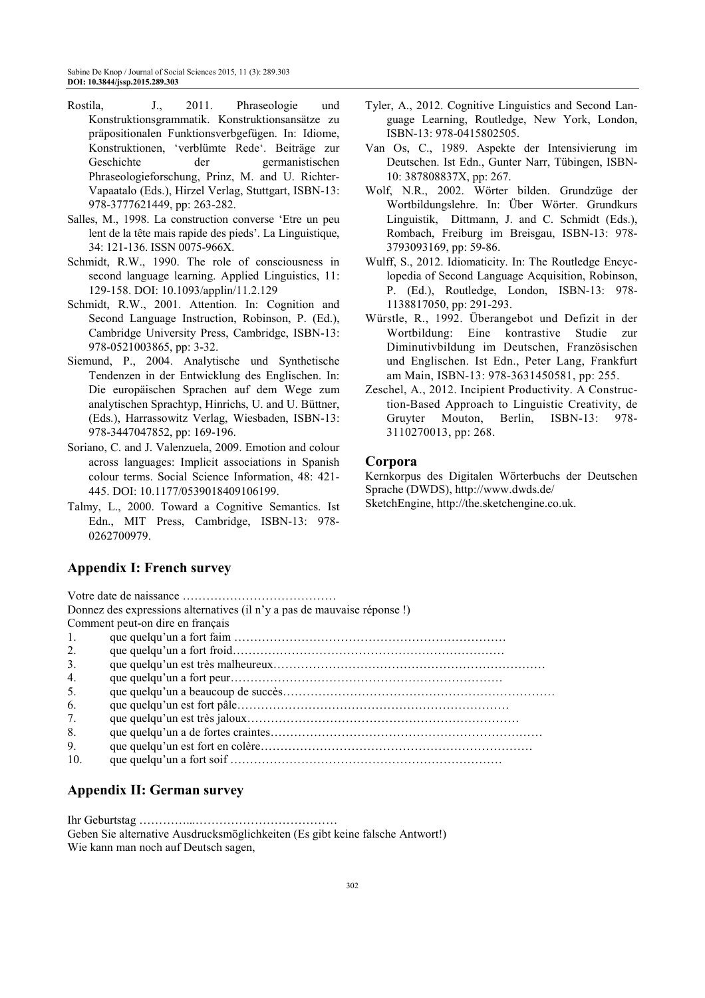- Rostila, J., 2011. Phraseologie und Konstruktionsgrammatik. Konstruktionsansätze zu präpositionalen Funktionsverbgefügen. In: Idiome, Konstruktionen, 'verblümte Rede'. Beiträge zur Geschichte der germanistischen Phraseologieforschung, Prinz, M. and U. Richter-Vapaatalo (Eds.), Hirzel Verlag, Stuttgart, ISBN-13: 978-3777621449, pp: 263-282.
- Salles, M., 1998. La construction converse 'Etre un peu lent de la tête mais rapide des pieds'. La Linguistique, 34: 121-136. ISSN 0075-966X.
- Schmidt, R.W., 1990. The role of consciousness in second language learning. Applied Linguistics, 11: 129-158. DOI: 10.1093/applin/11.2.129
- Schmidt, R.W., 2001. Attention. In: Cognition and Second Language Instruction, Robinson, P. (Ed.), Cambridge University Press, Cambridge, ISBN-13: 978-0521003865, pp: 3-32.
- Siemund, P., 2004. Analytische und Synthetische Tendenzen in der Entwicklung des Englischen. In: Die europäischen Sprachen auf dem Wege zum analytischen Sprachtyp, Hinrichs, U. and U. Büttner, (Eds.), Harrassowitz Verlag, Wiesbaden, ISBN-13: 978-3447047852, pp: 169-196.
- Soriano, C. and J. Valenzuela, 2009. Emotion and colour across languages: Implicit associations in Spanish colour terms. Social Science Information, 48: 421- 445. DOI: 10.1177/0539018409106199.
- Talmy, L., 2000. Toward a Cognitive Semantics. Ist Edn., MIT Press, Cambridge, ISBN-13: 978- 0262700979.

# **Appendix I: French survey**

- Tyler, A., 2012. Cognitive Linguistics and Second Language Learning, Routledge, New York, London, ISBN-13: 978-0415802505.
- Van Os, C., 1989. Aspekte der Intensivierung im Deutschen. Ist Edn., Gunter Narr, Tübingen, ISBN-10: 387808837X, pp: 267.
- Wolf, N.R., 2002. Wörter bilden. Grundzüge der Wortbildungslehre. In: Über Wörter. Grundkurs Linguistik, Dittmann, J. and C. Schmidt (Eds.), Rombach, Freiburg im Breisgau, ISBN-13: 978- 3793093169, pp: 59-86.
- Wulff, S., 2012. Idiomaticity. In: The Routledge Encyclopedia of Second Language Acquisition, Robinson, P. (Ed.), Routledge, London, ISBN-13: 978- 1138817050, pp: 291-293.
- Würstle, R., 1992. Überangebot und Defizit in der Wortbildung: Eine kontrastive Studie zur Diminutivbildung im Deutschen, Französischen und Englischen. Ist Edn., Peter Lang, Frankfurt am Main, ISBN-13: 978-3631450581, pp: 255.
- Zeschel, A., 2012. Incipient Productivity. A Construction-Based Approach to Linguistic Creativity, de Gruyter Mouton, Berlin, ISBN-13: 978- 3110270013, pp: 268.

### **Corpora**

Kernkorpus des Digitalen Wörterbuchs der Deutschen Sprache (DWDS), http://www.dwds.de/ SketchEngine, http://the.sketchengine.co.uk.

Votre date de naissance ………………………………… Donnez des expressions alternatives (il n'y a pas de mauvaise réponse !) Comment peut-on dire en français 1. que quelqu'un a fort faim …………………………………………………………… 2. que quelqu'un a fort froid…………………………………………………………… 3. que quelqu'un est très malheureux…………………………………………………………… 4. que quelqu'un a fort peur…………………………………………………………… 5. que quelqu'un a beaucoup de succès…………………………………………………………… 6. que quelqu'un est fort pâle…………………………………………………………… 7. que quelqu'un est très jaloux…………………………………………………………… 8. que quelqu'un a de fortes craintes…………………………………………………………… 9. que quelqu'un est fort en colère…………………………………………………………… 10. que quelqu'un a fort soif ……………………………………………………………

# **Appendix II: German survey**

Ihr Geburtstag …………...……………………………… Geben Sie alternative Ausdrucksmöglichkeiten (Es gibt keine falsche Antwort!) Wie kann man noch auf Deutsch sagen,